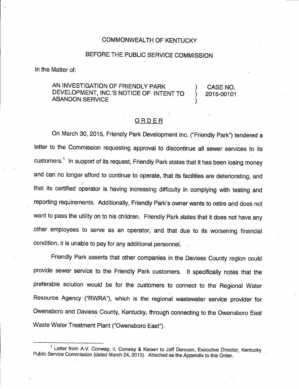### COMMONWEALTH OF KENTUCKY

## BEFORE THE PUBLIC SERVICE COMMISSION

In the Matter of:

## AN INVESTIGATION OF FRIENDLY PARK ) CASE NO. DEVELOPMENT, INC.'S NOTICE OF INTENT TO ) 2015-00101 **ABANDON SERVICE**

#### ORDER

On March 30, 2015, Friendly Park Development Inc. ("Friendly Park") tendered a letter to the Commission requesting approval to discontinue all sewer services to its customers.<sup>1</sup> In support of its request, Friendly Park states that it has been losing money and can no longer afford to continue to operate, that its facilities are deteriorating, and that its certified operator is having increasing difficulty in complying with testing and reporting requirements. Additionally, Friendly Park's owner wants to retire and does not want to pass the utility on to his children. Friendly Park states that it does not have any other employees to serve as an operator, and that due to its worsening financial condition, it is unable to pay for any additional personnel.

Friendly Park asserts that other companies in the Daviess County region could provide sewer service to the Friendly Park customers. It specifically notes that the preferable solution would be for the customers to connect to the Regional Water Resource Agency ("RWRA"), which is the regional wastewater service provider for Owensboro and Daviess County, Kentucky, through connecting to the Owensboro East Waste Water Treatment Plant ("Owensboro East").

<sup>&</sup>lt;sup>1</sup> Letter from A.V. Conway, II, Conway & Keown to Jeff Derouen, Executive Director, Kentucky Public Service Commission (dated March 24, 2015). Attached as the Appendix to this Order.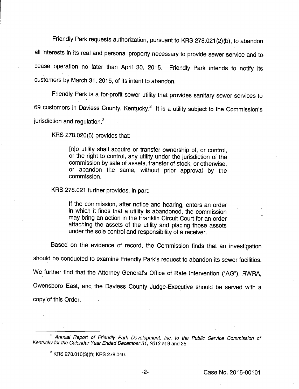Friendly Park requests authorization, pursuant to KRS 278.021 {2)(b), to abandon all interests in its real and personal property necessary to provide sewer service and to cease operation no later than April 30, 2015. Friendly Park intends to notify its customers by March 31, 2015, of its intent to abandon.

Friendly Park is a for-profit sewer utility that provides sanitary sewer services to 69 customers in Daviess County, Kentucky. $<sup>2</sup>$  It is a utility subject to the Commission's</sup>  $i$ urisdiction and regulation. $3$ 

KRS 278.020(5) provides that;

[njo utility shall acquire or transfer ownership of, or control, or the right to control, any utility under the jurisdiction of the commission by sale of assets, transfer of stock, or otherwise, or abandon the same, without prior approval by the commission.

KRS 278.021 further provides, in part:

If the commission, after notice and hearing, enters an order in which it finds that a utility is abandoned, the commission may bring an action in the Franklin Circuit Court for an order attaching the assets of the utility and placing those assets under the sole control and responsibility of a receiver.

Based on the evidence of record, the Commission finds that an investigation

should be conducted to examine Friendly Park's request to abandon its sewer facilities.

We further find that the Attorney General's Office of Rate Intervention ("AG"), RWRA,

Owensboro East, and the Daviess County Judge-Executive should be served with a

copy of this Order.

<sup>&</sup>lt;sup>2</sup> Annual Report of Friendly Park Development, Inc. to the Public Service Commission of Kentucky for the Calendar Year Ended December 31, 2013 at 9 and 25.

<sup>&</sup>lt;sup>3</sup> KRS 278.010(3)(f); KRS 278.040.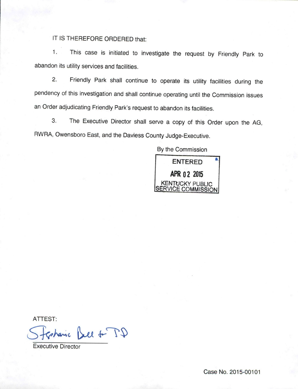IT IS THEREFORE ORDERED that:

1. This case is initiated to investigate the request by Friendly Park to abandon its utility services and facilities.

2. Friendly Park shall continue to operate its utility facilities during the pendency of this investigation and shall continue operating until the Commission issues an Order adjudicating Friendly Park's request to abandon its facilities.

3. The Executive Director shall serve a copy of this Order upon the AG, RWRA, Owensboro East, and the Davless County Judge-Executive.

By the Commission



ATTEST:

sharic Bell & TD

Executive Director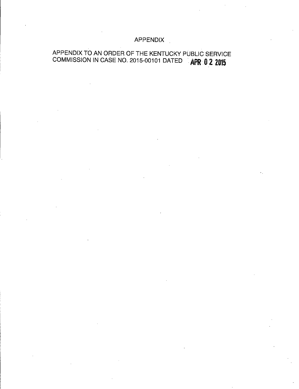## APPENDIX

# APPENDIX TO AN ORDER OF THE KENTUCKY PUBLIC SERVICE COMMISSION IN CASE NO. 2015-00101 DATED **APR 0 2 2015**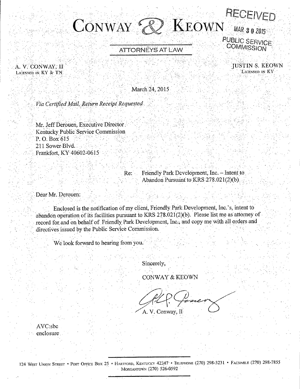# $\rm K_{EOWN}$  MAR 3 0 2015  $ConvAY \in$  $\langle\!\langle\, \rangle\!\rangle$ PUBLIC SERVICE<br>COMMISSION

attorneys at Law

A. V. CONWAY, II LICENSED IN KY & TN

 JUSTIN-S. KEOWN LICENSED IN KY

March 24, 2015

Via Certified Mail, Return Receipt Requested

Mr. Jeff Derouen, Executive Director: Kentucky Public Service Commission P. O. Box 615 211 Sower Blvd. Frankfort, KY 40602-0615

Re: Friendly Park Development, Inc. - Intent to<br>Abandon Pursuant to KRS 278.021(2)(b)

Dear Mr. Derouen:

Enclosed is the notification of my client, Friendly.Park.Developraent, Inc.'s, intentto abandon operation of its facilities pursuant to KRS 278.021 $(2)(b)$ . Please list me as attorney of record for and on behalf of Friendly Park Development, Inc., and copy me with all orders and directives issued by the Public Service Commission.

We look forward to hearing from you.

Sincerely,

CONWAY& KEOWN

A. V. Conway, II

AVCisbc enclosure,

124 West Union Street • Post Office Box 25 • Hartford, Kentucky 42347 • Telephone (270) 298-3231 • Facsimile (270) 298-7855 MORGANTOWN (270) 526-0592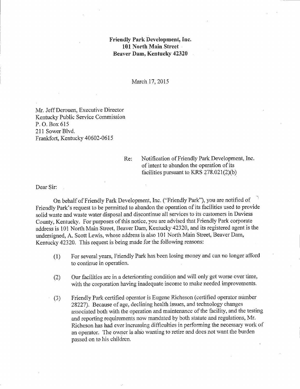## Friendly Park Development, Inc. 1.01 North Main Street Beaver Dam, Kentucky 42320

March 17,2015

Mr. Jeff Derouen, Executive Director Kentucky Public Service Commission P. 0. Box 615 211 Sower Blvd. Frankfort, Kentucky 40602-0615

> Re: Notification of Friendly Park Development, Inc. of intent to abandon the operation of its facilities pursuant to KRS  $278.021(2)(b)$

Dear Sir:

On behalf of Friendly Park Development, Inc. ("Friendly Park"), you are notified of Friendly Park's request to be permitted to abandon the operation of its facilities used to provide solid waste and waste water disposal and discontinue all services to its customers in Daviess County, Kentucky. For purposes of this notice, you are advised that Friendly Park corporate address is 101 North Main Street, Beaver Dam, Kentucky 42320, and its registered agent is the undersigned, A. Scott Lewis, whose address is also 101 North Main Street, Beaver Dam, Kentucky 42320. This request is being made for the following reasons:

- (1) Forseveral years. Friendly Park has been losing money and canno longer afford to continue in operation.
- (2) Our facilities are in a deteriorating condition and will only get worse over time, with the corporation having inadequate income to make needed improvements.
- (3) Friendly Park certified operator is Eugene Richeson (certified operator number 28227). Because of age, declining health issues, and technology changes associated both with the operation and maintenance of the facility, and the testing and reporting requirements now mandated by both statute and regulations, Mr. Richeson has had ever increasing difficulties in performing the necessary work of an operator. The owner is also wanting to retire and does not wantthe burden passed on to his children.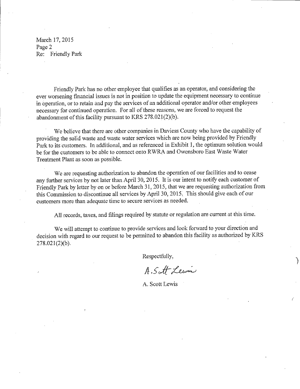March 17,2015 Page 2 Re; Friendly Park

Friendly Park has no other employee that qualifies as an operator, and considermg the ever worsening financial issues is not in position to update the equipment necessary to continue in operation, orto retain and pay the services of an additional operator and/or other employees necessary for continued operation. For all of these reasons, we are forced to request the abandonment of this facility pursuant to KRS 278.021(2)(b).

We believe that there are other companies in Daviess County who have the capability of providing the solid waste and waste water services which are now being provided by Friendly Park to its customers. In additional, and as referenced in Exhibit 1, the optimum solution would be for the customers to be able to connect onto RWRA and Owensboro East Waste Water Treatment Plant as soon as possible.

We are requesting authorization to abandon the operation of our facilities and to cease any further services by not later than April 30, 2015. It is our intent to notify each customer of Friendly Park by letter by on or before March 31, 2015, that we are requesting authorization from this Commission to discontinue all services by April 30, 2015, This should give each of our customers more than adequate time to secure services as needed.

All records, taxes, and filings required by statute or regulation are current at this time.

We will attempt to continue to provide services and look forward to your direction and decision with regard to our request to be permitted to abandon this facility as authorized by KRS  $278.021(2)(b)$ .

Respectfully,

A.S.A. Lewis

A. Scott Lewis